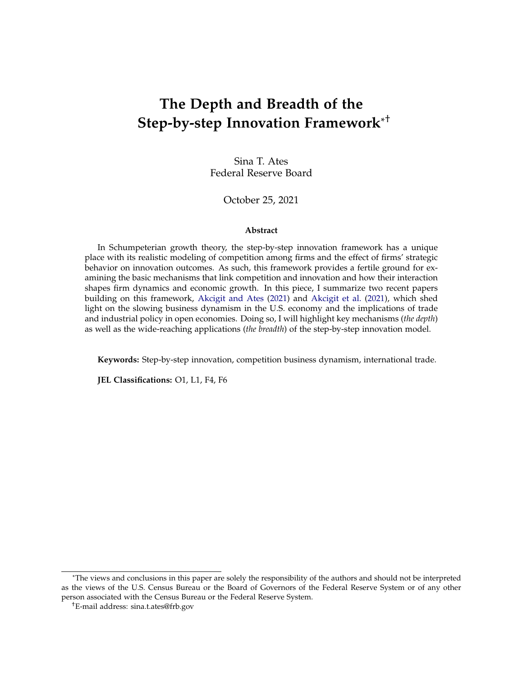## **The Depth and Breadth of the Step-by-step Innovation Framework**\* †

Sina T. Ates Federal Reserve Board

#### October 25, 2021

#### **Abstract**

In Schumpeterian growth theory, the step-by-step innovation framework has a unique place with its realistic modeling of competition among firms and the effect of firms' strategic behavior on innovation outcomes. As such, this framework provides a fertile ground for examining the basic mechanisms that link competition and innovation and how their interaction shapes firm dynamics and economic growth. In this piece, I summarize two recent papers building on this framework, [Akcigit and Ates](#page-20-0) [\(2021\)](#page-20-0) and [Akcigit et al.](#page-20-1) [\(2021\)](#page-20-1), which shed light on the slowing business dynamism in the U.S. economy and the implications of trade and industrial policy in open economies. Doing so, I will highlight key mechanisms (*the depth*) as well as the wide-reaching applications (*the breadth*) of the step-by-step innovation model.

**Keywords:** Step-by-step innovation, competition business dynamism, international trade.

**JEL Classifications:** O1, L1, F4, F6

<sup>\*</sup>The views and conclusions in this paper are solely the responsibility of the authors and should not be interpreted as the views of the U.S. Census Bureau or the Board of Governors of the Federal Reserve System or of any other person associated with the Census Bureau or the Federal Reserve System.

<sup>†</sup>E-mail address: sina.t.ates@frb.gov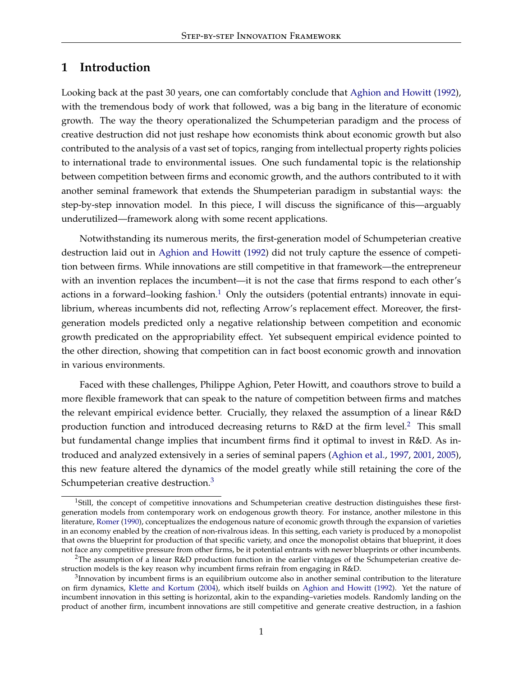### **1 Introduction**

Looking back at the past 30 years, one can comfortably conclude that [Aghion and Howitt](#page-20-2) [\(1992\)](#page-20-2), with the tremendous body of work that followed, was a big bang in the literature of economic growth. The way the theory operationalized the Schumpeterian paradigm and the process of creative destruction did not just reshape how economists think about economic growth but also contributed to the analysis of a vast set of topics, ranging from intellectual property rights policies to international trade to environmental issues. One such fundamental topic is the relationship between competition between firms and economic growth, and the authors contributed to it with another seminal framework that extends the Shumpeterian paradigm in substantial ways: the step-by-step innovation model. In this piece, I will discuss the significance of this—arguably underutilized—framework along with some recent applications.

Notwithstanding its numerous merits, the first-generation model of Schumpeterian creative destruction laid out in [Aghion and Howitt](#page-20-2) [\(1992\)](#page-20-2) did not truly capture the essence of competition between firms. While innovations are still competitive in that framework—the entrepreneur with an invention replaces the incumbent—it is not the case that firms respond to each other's actions in a forward–looking fashion.<sup>[1](#page-1-0)</sup> Only the outsiders (potential entrants) innovate in equilibrium, whereas incumbents did not, reflecting Arrow's replacement effect. Moreover, the firstgeneration models predicted only a negative relationship between competition and economic growth predicated on the appropriability effect. Yet subsequent empirical evidence pointed to the other direction, showing that competition can in fact boost economic growth and innovation in various environments.

Faced with these challenges, Philippe Aghion, Peter Howitt, and coauthors strove to build a more flexible framework that can speak to the nature of competition between firms and matches the relevant empirical evidence better. Crucially, they relaxed the assumption of a linear R&D production function and introduced decreasing returns to  $R&D$  at the firm level.<sup>[2](#page-1-1)</sup> This small but fundamental change implies that incumbent firms find it optimal to invest in R&D. As introduced and analyzed extensively in a series of seminal papers [\(Aghion et al.,](#page-20-3) [1997,](#page-20-3) [2001,](#page-20-4) [2005\)](#page-20-5), this new feature altered the dynamics of the model greatly while still retaining the core of the Schumpeterian creative destruction.<sup>[3](#page-1-2)</sup>

<span id="page-1-0"></span><sup>&</sup>lt;sup>1</sup>Still, the concept of competitive innovations and Schumpeterian creative destruction distinguishes these firstgeneration models from contemporary work on endogenous growth theory. For instance, another milestone in this literature, [Romer](#page-22-0) [\(1990\)](#page-22-0), conceptualizes the endogenous nature of economic growth through the expansion of varieties in an economy enabled by the creation of non-rivalrous ideas. In this setting, each variety is produced by a monopolist that owns the blueprint for production of that specific variety, and once the monopolist obtains that blueprint, it does not face any competitive pressure from other firms, be it potential entrants with newer blueprints or other incumbents.

<span id="page-1-1"></span><sup>&</sup>lt;sup>2</sup>The assumption of a linear R&D production function in the earlier vintages of the Schumpeterian creative destruction models is the key reason why incumbent firms refrain from engaging in R&D.

<span id="page-1-2"></span> $3$ Innovation by incumbent firms is an equilibrium outcome also in another seminal contribution to the literature on firm dynamics, [Klette and Kortum](#page-22-1) [\(2004\)](#page-22-1), which itself builds on [Aghion and Howitt](#page-20-2) [\(1992\)](#page-20-2). Yet the nature of incumbent innovation in this setting is horizontal, akin to the expanding–varieties models. Randomly landing on the product of another firm, incumbent innovations are still competitive and generate creative destruction, in a fashion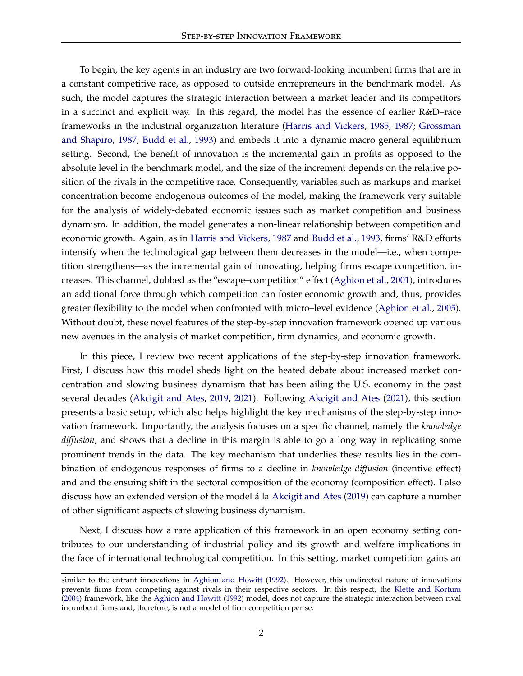To begin, the key agents in an industry are two forward-looking incumbent firms that are in a constant competitive race, as opposed to outside entrepreneurs in the benchmark model. As such, the model captures the strategic interaction between a market leader and its competitors in a succinct and explicit way. In this regard, the model has the essence of earlier R&D–race frameworks in the industrial organization literature [\(Harris and Vickers,](#page-21-0) [1985,](#page-21-0) [1987;](#page-21-1) [Grossman](#page-21-2) [and Shapiro,](#page-21-2) [1987;](#page-21-2) [Budd et al.,](#page-20-6) [1993\)](#page-20-6) and embeds it into a dynamic macro general equilibrium setting. Second, the benefit of innovation is the incremental gain in profits as opposed to the absolute level in the benchmark model, and the size of the increment depends on the relative position of the rivals in the competitive race. Consequently, variables such as markups and market concentration become endogenous outcomes of the model, making the framework very suitable for the analysis of widely-debated economic issues such as market competition and business dynamism. In addition, the model generates a non-linear relationship between competition and economic growth. Again, as in [Harris and Vickers,](#page-21-1) [1987](#page-21-1) and [Budd et al.,](#page-20-6) [1993,](#page-20-6) firms' R&D efforts intensify when the technological gap between them decreases in the model—i.e., when competition strengthens—as the incremental gain of innovating, helping firms escape competition, increases. This channel, dubbed as the "escape–competition" effect [\(Aghion et al.,](#page-20-4) [2001\)](#page-20-4), introduces an additional force through which competition can foster economic growth and, thus, provides greater flexibility to the model when confronted with micro–level evidence [\(Aghion et al.,](#page-20-5) [2005\)](#page-20-5). Without doubt, these novel features of the step-by-step innovation framework opened up various new avenues in the analysis of market competition, firm dynamics, and economic growth.

In this piece, I review two recent applications of the step-by-step innovation framework. First, I discuss how this model sheds light on the heated debate about increased market concentration and slowing business dynamism that has been ailing the U.S. economy in the past several decades [\(Akcigit and Ates,](#page-20-7) [2019,](#page-20-7) [2021\)](#page-20-0). Following [Akcigit and Ates](#page-20-0) [\(2021\)](#page-20-0), this section presents a basic setup, which also helps highlight the key mechanisms of the step-by-step innovation framework. Importantly, the analysis focuses on a specific channel, namely the *knowledge diffusion*, and shows that a decline in this margin is able to go a long way in replicating some prominent trends in the data. The key mechanism that underlies these results lies in the combination of endogenous responses of firms to a decline in *knowledge diffusion* (incentive effect) and and the ensuing shift in the sectoral composition of the economy (composition effect). I also discuss how an extended version of the model á la [Akcigit and Ates](#page-20-7) [\(2019\)](#page-20-7) can capture a number of other significant aspects of slowing business dynamism.

Next, I discuss how a rare application of this framework in an open economy setting contributes to our understanding of industrial policy and its growth and welfare implications in the face of international technological competition. In this setting, market competition gains an

similar to the entrant innovations in [Aghion and Howitt](#page-20-2) [\(1992\)](#page-20-2). However, this undirected nature of innovations prevents firms from competing against rivals in their respective sectors. In this respect, the [Klette and Kortum](#page-22-1) [\(2004\)](#page-22-1) framework, like the [Aghion and Howitt](#page-20-2) [\(1992\)](#page-20-2) model, does not capture the strategic interaction between rival incumbent firms and, therefore, is not a model of firm competition per se.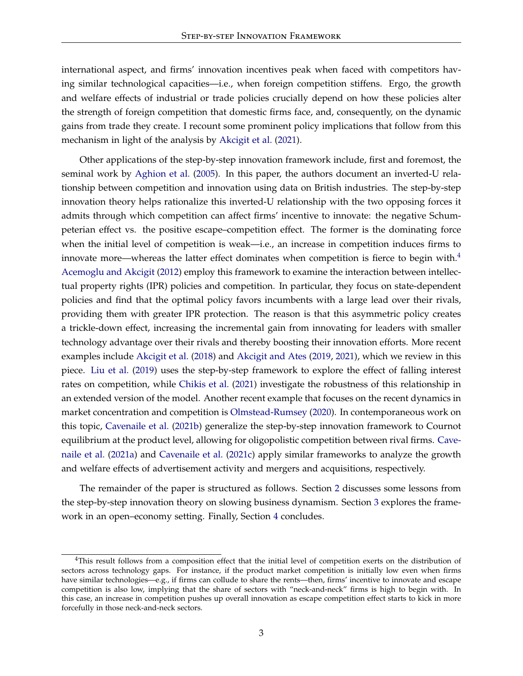international aspect, and firms' innovation incentives peak when faced with competitors having similar technological capacities—i.e., when foreign competition stiffens. Ergo, the growth and welfare effects of industrial or trade policies crucially depend on how these policies alter the strength of foreign competition that domestic firms face, and, consequently, on the dynamic gains from trade they create. I recount some prominent policy implications that follow from this mechanism in light of the analysis by [Akcigit et al.](#page-20-1) [\(2021\)](#page-20-1).

Other applications of the step-by-step innovation framework include, first and foremost, the seminal work by [Aghion et al.](#page-20-5) [\(2005\)](#page-20-5). In this paper, the authors document an inverted-U relationship between competition and innovation using data on British industries. The step-by-step innovation theory helps rationalize this inverted-U relationship with the two opposing forces it admits through which competition can affect firms' incentive to innovate: the negative Schumpeterian effect vs. the positive escape–competition effect. The former is the dominating force when the initial level of competition is weak—i.e., an increase in competition induces firms to innovate more—whereas the latter effect dominates when competition is fierce to begin with. $4$ [Acemoglu and Akcigit](#page-19-0) [\(2012\)](#page-19-0) employ this framework to examine the interaction between intellectual property rights (IPR) policies and competition. In particular, they focus on state-dependent policies and find that the optimal policy favors incumbents with a large lead over their rivals, providing them with greater IPR protection. The reason is that this asymmetric policy creates a trickle-down effect, increasing the incremental gain from innovating for leaders with smaller technology advantage over their rivals and thereby boosting their innovation efforts. More recent examples include [Akcigit et al.](#page-20-8) [\(2018\)](#page-20-8) and [Akcigit and Ates](#page-20-7) [\(2019,](#page-20-7) [2021\)](#page-20-0), which we review in this piece. [Liu et al.](#page-22-2) [\(2019\)](#page-22-2) uses the step-by-step framework to explore the effect of falling interest rates on competition, while [Chikis et al.](#page-21-3) [\(2021\)](#page-21-3) investigate the robustness of this relationship in an extended version of the model. Another recent example that focuses on the recent dynamics in market concentration and competition is [Olmstead-Rumsey](#page-22-3) [\(2020\)](#page-22-3). In contemporaneous work on this topic, [Cavenaile et al.](#page-21-4) [\(2021b\)](#page-21-4) generalize the step-by-step innovation framework to Cournot equilibrium at the product level, allowing for oligopolistic competition between rival firms. [Cave](#page-21-5)[naile et al.](#page-21-5) [\(2021a\)](#page-21-5) and [Cavenaile et al.](#page-21-6) [\(2021c\)](#page-21-6) apply similar frameworks to analyze the growth and welfare effects of advertisement activity and mergers and acquisitions, respectively.

The remainder of the paper is structured as follows. Section [2](#page-4-0) discusses some lessons from the step-by-step innovation theory on slowing business dynamism. Section [3](#page-14-0) explores the framework in an open–economy setting. Finally, Section [4](#page-19-1) concludes.

<span id="page-3-0"></span><sup>&</sup>lt;sup>4</sup>This result follows from a composition effect that the initial level of competition exerts on the distribution of sectors across technology gaps. For instance, if the product market competition is initially low even when firms have similar technologies—e.g., if firms can collude to share the rents—then, firms' incentive to innovate and escape competition is also low, implying that the share of sectors with "neck-and-neck" firms is high to begin with. In this case, an increase in competition pushes up overall innovation as escape competition effect starts to kick in more forcefully in those neck-and-neck sectors.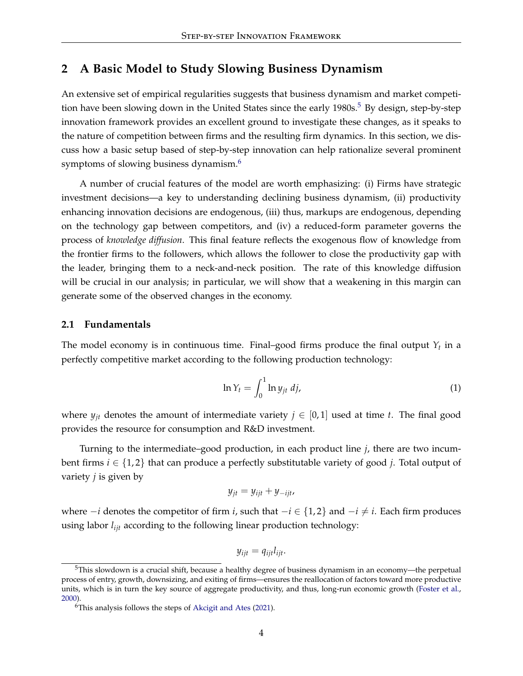### <span id="page-4-0"></span>**2 A Basic Model to Study Slowing Business Dynamism**

An extensive set of empirical regularities suggests that business dynamism and market competi-tion have been slowing down in the United States since the early 1980s.<sup>[5](#page-4-1)</sup> By design, step-by-step innovation framework provides an excellent ground to investigate these changes, as it speaks to the nature of competition between firms and the resulting firm dynamics. In this section, we discuss how a basic setup based of step-by-step innovation can help rationalize several prominent symptoms of slowing business dynamism.<sup>[6](#page-4-2)</sup>

A number of crucial features of the model are worth emphasizing: (i) Firms have strategic investment decisions—a key to understanding declining business dynamism, (ii) productivity enhancing innovation decisions are endogenous, (iii) thus, markups are endogenous, depending on the technology gap between competitors, and (iv) a reduced-form parameter governs the process of *knowledge diffusion*. This final feature reflects the exogenous flow of knowledge from the frontier firms to the followers, which allows the follower to close the productivity gap with the leader, bringing them to a neck-and-neck position. The rate of this knowledge diffusion will be crucial in our analysis; in particular, we will show that a weakening in this margin can generate some of the observed changes in the economy.

### **2.1 Fundamentals**

The model economy is in continuous time. Final–good firms produce the final output  $Y_t$  in a perfectly competitive market according to the following production technology:

<span id="page-4-3"></span>
$$
\ln Y_t = \int_0^1 \ln y_{jt} \, dj,\tag{1}
$$

where  $y_{jt}$  denotes the amount of intermediate variety  $j \in [0,1]$  used at time *t*. The final good provides the resource for consumption and R&D investment.

Turning to the intermediate–good production, in each product line *j*, there are two incumbent firms *i* ∈ {1, 2} that can produce a perfectly substitutable variety of good *j*. Total output of variety *j* is given by

$$
y_{jt} = y_{ijt} + y_{-ijt},
$$

where  $-i$  denotes the competitor of firm *i*, such that  $-i \in \{1,2\}$  and  $-i \neq i$ . Each firm produces using labor *lijt* according to the following linear production technology:

$$
y_{ijt} = q_{ijt}l_{ijt}.
$$

<span id="page-4-1"></span><sup>5</sup>This slowdown is a crucial shift, because a healthy degree of business dynamism in an economy—the perpetual process of entry, growth, downsizing, and exiting of firms—ensures the reallocation of factors toward more productive units, which is in turn the key source of aggregate productivity, and thus, long-run economic growth [\(Foster et al.,](#page-21-7) [2000\)](#page-21-7).

<span id="page-4-2"></span> $6$ This analysis follows the steps of [Akcigit and Ates](#page-20-0) [\(2021\)](#page-20-0).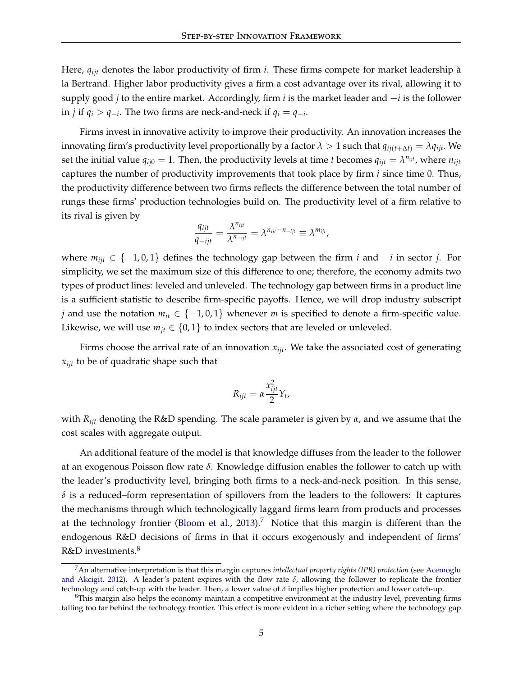Here, *qijt* denotes the labor productivity of firm *i*. These firms compete for market leadership à la Bertrand. Higher labor productivity gives a firm a cost advantage over its rival, allowing it to supply good *j* to the entire market. Accordingly, firm *i* is the market leader and −*i* is the follower in *j* if  $q_i > q_{-i}$ . The two firms are neck-and-neck if  $q_i = q_{-i}$ .

Firms invest in innovative activity to improve their productivity. An innovation increases the innovating firm's productivity level proportionally by a factor  $\lambda > 1$  such that  $q_{ii(t+\Delta t)} = \lambda q_{iit}$ . We set the initial value  $q_{ij0} = 1$ . Then, the productivity levels at time *t* becomes  $q_{ijt} = \lambda^{n_{ijt}}$ , where  $n_{ijt}$ captures the number of productivity improvements that took place by firm *i* since time 0. Thus, the productivity difference between two firms reflects the difference between the total number of rungs these firms' production technologies build on. The productivity level of a firm relative to its rival is given by

$$
\frac{q_{ijt}}{q_{-ijt}} = \frac{\lambda^{n_{ijt}}}{\lambda^{n_{-ijt}}} = \lambda^{n_{ijt} - n_{-ijt}} \equiv \lambda^{m_{ijt}},
$$

where *mijt* ∈ {−1, 0, 1} defines the technology gap between the firm *i* and −*i* in sector *j*. For simplicity, we set the maximum size of this difference to one; therefore, the economy admits two types of product lines: leveled and unleveled. The technology gap between firms in a product line is a sufficient statistic to describe firm-specific payoffs. Hence, we will drop industry subscript *j* and use the notation  $m_{it} \in \{-1,0,1\}$  whenever *m* is specified to denote a firm-specific value. Likewise, we will use  $m_{jt} \in \{0, 1\}$  to index sectors that are leveled or unleveled.

Firms choose the arrival rate of an innovation  $x_{ijt}$ . We take the associated cost of generating *xijt* to be of quadratic shape such that

$$
R_{ijt} = \alpha \frac{x_{ijt}^2}{2} Y_t,
$$

with *Rijt* denoting the R&D spending. The scale parameter is given by *α*, and we assume that the cost scales with aggregate output.

An additional feature of the model is that knowledge diffuses from the leader to the follower at an exogenous Poisson flow rate *δ*. Knowledge diffusion enables the follower to catch up with the leader's productivity level, bringing both firms to a neck-and-neck position. In this sense,  $\delta$  is a reduced–form representation of spillovers from the leaders to the followers: It captures the mechanisms through which technologically laggard firms learn from products and processes at the technology frontier [\(Bloom et al.,](#page-20-9) [2013\)](#page-20-9).<sup>[7](#page-5-0)</sup> Notice that this margin is different than the endogenous R&D decisions of firms in that it occurs exogenously and independent of firms'  $R&D$  investments.<sup>[8](#page-5-1)</sup>

<span id="page-5-0"></span><sup>7</sup>An alternative interpretation is that this margin captures *intellectual property rights (IPR) protection* (see [Acemoglu](#page-19-0) [and Akcigit,](#page-19-0) [2012\)](#page-19-0). A leader's patent expires with the flow rate *δ*, allowing the follower to replicate the frontier technology and catch-up with the leader. Then, a lower value of *δ* implies higher protection and lower catch-up.

<span id="page-5-1"></span><sup>&</sup>lt;sup>8</sup>This margin also helps the economy maintain a competitive environment at the industry level, preventing firms falling too far behind the technology frontier. This effect is more evident in a richer setting where the technology gap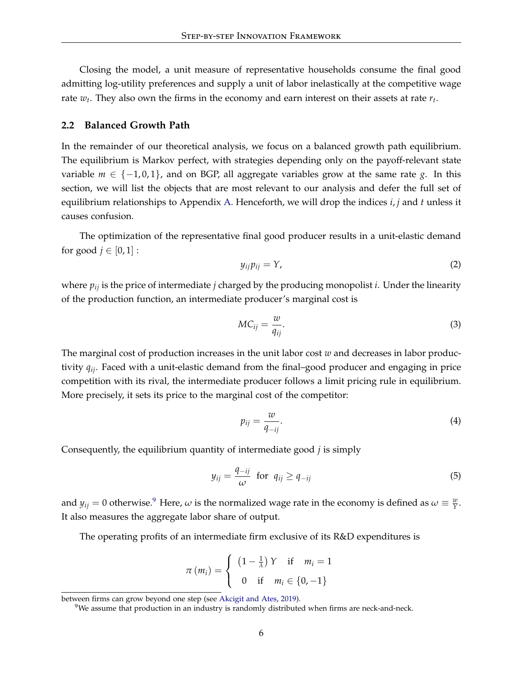Closing the model, a unit measure of representative households consume the final good admitting log-utility preferences and supply a unit of labor inelastically at the competitive wage rate  $w_t$ . They also own the firms in the economy and earn interest on their assets at rate  $r_t$ .

### **2.2 Balanced Growth Path**

In the remainder of our theoretical analysis, we focus on a balanced growth path equilibrium. The equilibrium is Markov perfect, with strategies depending only on the payoff-relevant state variable  $m \in \{-1, 0, 1\}$ , and on BGP, all aggregate variables grow at the same rate *g*. In this section, we will list the objects that are most relevant to our analysis and defer the full set of equilibrium relationships to Appendix [A.](#page-23-0) Henceforth, we will drop the indices *i*, *j* and *t* unless it causes confusion.

The optimization of the representative final good producer results in a unit-elastic demand for good  $j \in [0, 1]$ :

$$
y_{ij}p_{ij}=Y,\t\t(2)
$$

where *pij* is the price of intermediate *j* charged by the producing monopolist *i*. Under the linearity of the production function, an intermediate producer's marginal cost is

$$
MC_{ij} = \frac{w}{q_{ij}}.\tag{3}
$$

The marginal cost of production increases in the unit labor cost *w* and decreases in labor productivity *qij*. Faced with a unit-elastic demand from the final–good producer and engaging in price competition with its rival, the intermediate producer follows a limit pricing rule in equilibrium. More precisely, it sets its price to the marginal cost of the competitor:

$$
p_{ij} = \frac{w}{q_{-ij}}.\tag{4}
$$

Consequently, the equilibrium quantity of intermediate good *j* is simply

<span id="page-6-1"></span>
$$
y_{ij} = \frac{q_{-ij}}{\omega} \text{ for } q_{ij} \ge q_{-ij} \tag{5}
$$

and  $y_{ij} = 0$  otherwise.<sup>[9](#page-6-0)</sup> Here,  $\omega$  is the normalized wage rate in the economy is defined as  $\omega \equiv \frac{w}{Y}$ . It also measures the aggregate labor share of output.

The operating profits of an intermediate firm exclusive of its R&D expenditures is

$$
\pi(m_i) = \begin{cases} (1 - \frac{1}{\lambda}) Y & \text{if } m_i = 1 \\ 0 & \text{if } m_i \in \{0, -1\} \end{cases}
$$

between firms can grow beyond one step (see [Akcigit and Ates,](#page-20-7) [2019\)](#page-20-7).

<span id="page-6-0"></span> $9$ We assume that production in an industry is randomly distributed when firms are neck-and-neck.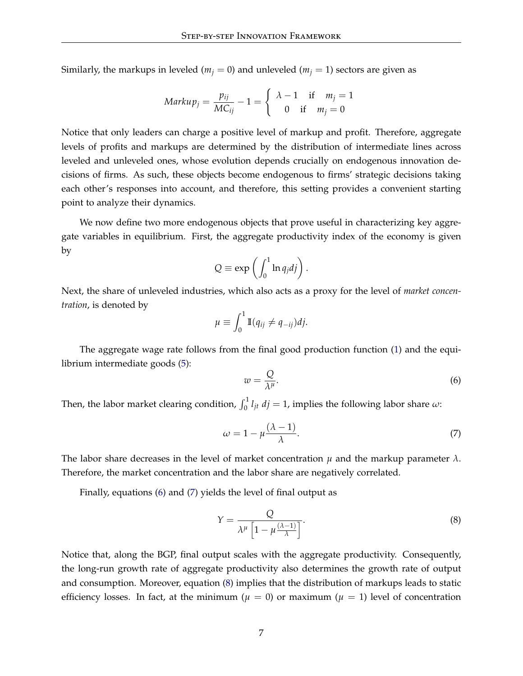Similarly, the markups in leveled ( $m_j = 0$ ) and unleveled ( $m_j = 1$ ) sectors are given as

$$
Markup_j = \frac{p_{ij}}{MC_{ij}} - 1 = \begin{cases} \lambda - 1 & \text{if } m_j = 1 \\ 0 & \text{if } m_j = 0 \end{cases}
$$

Notice that only leaders can charge a positive level of markup and profit. Therefore, aggregate levels of profits and markups are determined by the distribution of intermediate lines across leveled and unleveled ones, whose evolution depends crucially on endogenous innovation decisions of firms. As such, these objects become endogenous to firms' strategic decisions taking each other's responses into account, and therefore, this setting provides a convenient starting point to analyze their dynamics.

We now define two more endogenous objects that prove useful in characterizing key aggregate variables in equilibrium. First, the aggregate productivity index of the economy is given by

$$
Q \equiv \exp\left(\int_0^1 \ln q_j dj\right).
$$

Next, the share of unleveled industries, which also acts as a proxy for the level of *market concentration*, is denoted by

$$
\mu \equiv \int_0^1 \mathbb{I}(q_{ij} \neq q_{-ij}) dj.
$$

The aggregate wage rate follows from the final good production function [\(1\)](#page-4-3) and the equilibrium intermediate goods [\(5\)](#page-6-1):

<span id="page-7-0"></span>
$$
w = \frac{Q}{\lambda^{\mu}}.\tag{6}
$$

Then, the labor market clearing condition,  $\int_0^1 l_{jt} \, dj = 1$ , implies the following labor share  $\omega$ :

<span id="page-7-1"></span>
$$
\omega = 1 - \mu \frac{(\lambda - 1)}{\lambda}.
$$
\n(7)

The labor share decreases in the level of market concentration  $\mu$  and the markup parameter  $\lambda$ . Therefore, the market concentration and the labor share are negatively correlated.

Finally, equations [\(6\)](#page-7-0) and [\(7\)](#page-7-1) yields the level of final output as

<span id="page-7-2"></span>
$$
Y = \frac{Q}{\lambda^{\mu} \left[1 - \mu \frac{(\lambda - 1)}{\lambda}\right]}.
$$
\n(8)

Notice that, along the BGP, final output scales with the aggregate productivity. Consequently, the long-run growth rate of aggregate productivity also determines the growth rate of output and consumption. Moreover, equation [\(8\)](#page-7-2) implies that the distribution of markups leads to static efficiency losses. In fact, at the minimum ( $\mu = 0$ ) or maximum ( $\mu = 1$ ) level of concentration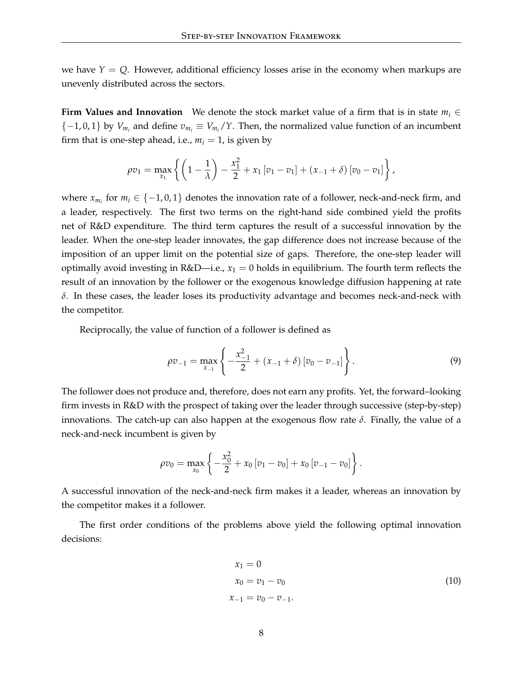we have  $Y = Q$ . However, additional efficiency losses arise in the economy when markups are unevenly distributed across the sectors.

**Firm Values and Innovation** We denote the stock market value of a firm that is in state  $m_i \in$  ${-1,0,1}$  by  $V_{m_i}$  and define  $v_{m_i} \equiv V_{m_i}/Y$ . Then, the normalized value function of an incumbent firm that is one-step ahead, i.e.,  $m_i = 1$ , is given by

$$
\rho v_1 = \max_{x_1} \left\{ \left( 1 - \frac{1}{\lambda} \right) - \frac{x_1^2}{2} + x_1 \left[ v_1 - v_1 \right] + (x_{-1} + \delta) \left[ v_0 - v_1 \right] \right\},\,
$$

where  $x_{m_i}$  for  $m_i \in \{-1,0,1\}$  denotes the innovation rate of a follower, neck-and-neck firm, and a leader, respectively. The first two terms on the right-hand side combined yield the profits net of R&D expenditure. The third term captures the result of a successful innovation by the leader. When the one-step leader innovates, the gap difference does not increase because of the imposition of an upper limit on the potential size of gaps. Therefore, the one-step leader will optimally avoid investing in R&D—i.e.,  $x_1 = 0$  holds in equilibrium. The fourth term reflects the result of an innovation by the follower or the exogenous knowledge diffusion happening at rate *δ*. In these cases, the leader loses its productivity advantage and becomes neck-and-neck with the competitor.

Reciprocally, the value of function of a follower is defined as

$$
\rho v_{-1} = \max_{x_{-1}} \left\{ -\frac{x_{-1}^2}{2} + (x_{-1} + \delta) [v_0 - v_{-1}] \right\}.
$$
\n(9)

The follower does not produce and, therefore, does not earn any profits. Yet, the forward–looking firm invests in R&D with the prospect of taking over the leader through successive (step-by-step) innovations. The catch-up can also happen at the exogenous flow rate *δ*. Finally, the value of a neck-and-neck incumbent is given by

$$
\rho v_0 = \max_{x_0} \left\{ -\frac{x_0^2}{2} + x_0 \left[ v_1 - v_0 \right] + x_0 \left[ v_{-1} - v_0 \right] \right\}.
$$

A successful innovation of the neck-and-neck firm makes it a leader, whereas an innovation by the competitor makes it a follower.

The first order conditions of the problems above yield the following optimal innovation decisions:

$$
x_1 = 0
$$
  
\n
$$
x_0 = v_1 - v_0
$$
  
\n
$$
x_{-1} = v_0 - v_{-1}.
$$
\n(10)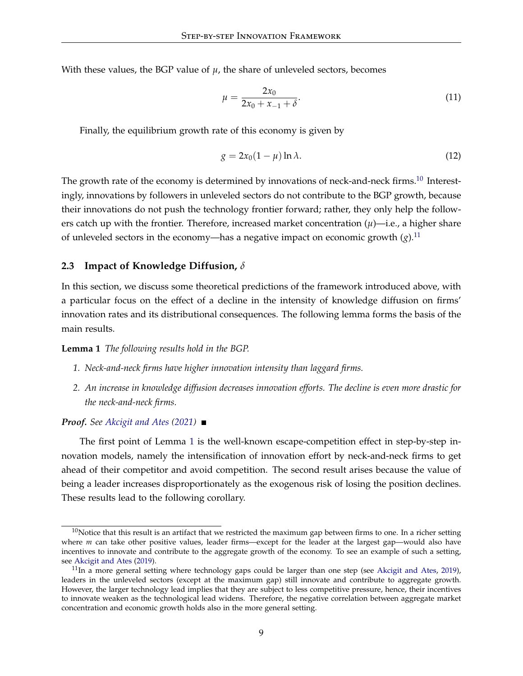With these values, the BGP value of  $\mu$ , the share of unleveled sectors, becomes

<span id="page-9-4"></span>
$$
\mu = \frac{2x_0}{2x_0 + x_{-1} + \delta}.\tag{11}
$$

Finally, the equilibrium growth rate of this economy is given by

$$
g = 2x_0(1 - \mu) \ln \lambda. \tag{12}
$$

The growth rate of the economy is determined by innovations of neck-and-neck firms.<sup>[10](#page-9-0)</sup> Interestingly, innovations by followers in unleveled sectors do not contribute to the BGP growth, because their innovations do not push the technology frontier forward; rather, they only help the followers catch up with the frontier. Therefore, increased market concentration  $(\mu)$ —i.e., a higher share of unleveled sectors in the economy—has a negative impact on economic growth  $(g)$ .<sup>[11](#page-9-1)</sup>

### **2.3 Impact of Knowledge Diffusion,** *δ*

In this section, we discuss some theoretical predictions of the framework introduced above, with a particular focus on the effect of a decline in the intensity of knowledge diffusion on firms' innovation rates and its distributional consequences. The following lemma forms the basis of the main results.

**Lemma 1** *The following results hold in the BGP.*

- <span id="page-9-2"></span>*1. Neck-and-neck firms have higher innovation intensity than laggard firms.*
- *2. An increase in knowledge diffusion decreases innovation efforts. The decline is even more drastic for the neck-and-neck firms.*

*Proof. See [Akcigit and Ates](#page-20-0) [\(2021\)](#page-20-0)*

The first point of Lemma [1](#page-9-2) is the well-known escape-competition effect in step-by-step innovation models, namely the intensification of innovation effort by neck-and-neck firms to get ahead of their competitor and avoid competition. The second result arises because the value of being a leader increases disproportionately as the exogenous risk of losing the position declines. These results lead to the following corollary.

<span id="page-9-3"></span><span id="page-9-0"></span> $10$ Notice that this result is an artifact that we restricted the maximum gap between firms to one. In a richer setting where *m* can take other positive values, leader firms—except for the leader at the largest gap—would also have incentives to innovate and contribute to the aggregate growth of the economy. To see an example of such a setting, see [Akcigit and Ates](#page-20-7) [\(2019\)](#page-20-7).

<span id="page-9-1"></span> $11$ In a more general setting where technology gaps could be larger than one step (see [Akcigit and Ates,](#page-20-7) [2019\)](#page-20-7), leaders in the unleveled sectors (except at the maximum gap) still innovate and contribute to aggregate growth. However, the larger technology lead implies that they are subject to less competitive pressure, hence, their incentives to innovate weaken as the technological lead widens. Therefore, the negative correlation between aggregate market concentration and economic growth holds also in the more general setting.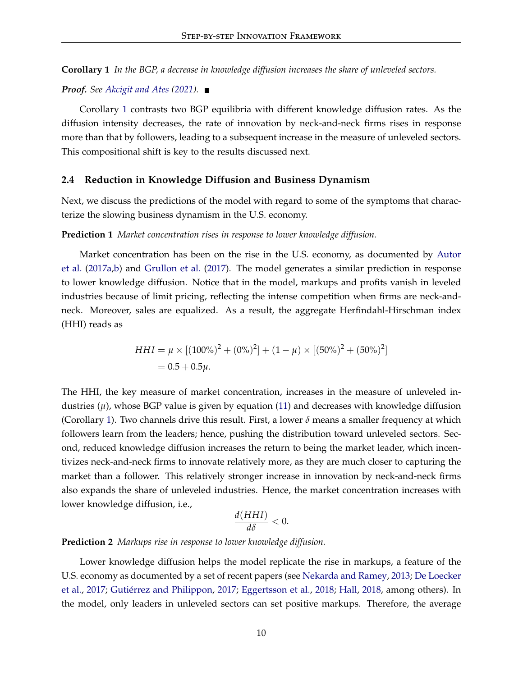**Corollary 1** *In the BGP, a decrease in knowledge diffusion increases the share of unleveled sectors.*

*Proof. See [Akcigit and Ates](#page-20-0) [\(2021\)](#page-20-0).*

Corollary [1](#page-9-3) contrasts two BGP equilibria with different knowledge diffusion rates. As the diffusion intensity decreases, the rate of innovation by neck-and-neck firms rises in response more than that by followers, leading to a subsequent increase in the measure of unleveled sectors. This compositional shift is key to the results discussed next.

#### **2.4 Reduction in Knowledge Diffusion and Business Dynamism**

Next, we discuss the predictions of the model with regard to some of the symptoms that characterize the slowing business dynamism in the U.S. economy.

### **Prediction 1** *Market concentration rises in response to lower knowledge diffusion.*

Market concentration has been on the rise in the U.S. economy, as documented by [Autor](#page-20-10) [et al.](#page-20-10) [\(2017a,](#page-20-10)[b\)](#page-20-11) and [Grullon et al.](#page-21-8) [\(2017\)](#page-21-8). The model generates a similar prediction in response to lower knowledge diffusion. Notice that in the model, markups and profits vanish in leveled industries because of limit pricing, reflecting the intense competition when firms are neck-andneck. Moreover, sales are equalized. As a result, the aggregate Herfindahl-Hirschman index (HHI) reads as

$$
HHI = \mu \times [(100\%)^2 + (0\%)^2] + (1 - \mu) \times [(50\%)^2 + (50\%)^2]
$$
  
= 0.5 + 0.5 $\mu$ .

The HHI, the key measure of market concentration, increases in the measure of unleveled industries  $(\mu)$ , whose BGP value is given by equation [\(11\)](#page-9-4) and decreases with knowledge diffusion (Corollary [1\)](#page-9-3). Two channels drive this result. First, a lower  $\delta$  means a smaller frequency at which followers learn from the leaders; hence, pushing the distribution toward unleveled sectors. Second, reduced knowledge diffusion increases the return to being the market leader, which incentivizes neck-and-neck firms to innovate relatively more, as they are much closer to capturing the market than a follower. This relatively stronger increase in innovation by neck-and-neck firms also expands the share of unleveled industries. Hence, the market concentration increases with lower knowledge diffusion, i.e.,

$$
\frac{d(HHI)}{d\delta} < 0.
$$

#### **Prediction 2** *Markups rise in response to lower knowledge diffusion.*

Lower knowledge diffusion helps the model replicate the rise in markups, a feature of the U.S. economy as documented by a set of recent papers (see [Nekarda and Ramey,](#page-22-4) [2013;](#page-22-4) [De Loecker](#page-21-9) [et al.,](#page-21-9) [2017;](#page-21-9) [Gutiérrez and Philippon,](#page-21-10) [2017;](#page-21-10) [Eggertsson et al.,](#page-21-11) [2018;](#page-21-11) [Hall,](#page-21-12) [2018,](#page-21-12) among others). In the model, only leaders in unleveled sectors can set positive markups. Therefore, the average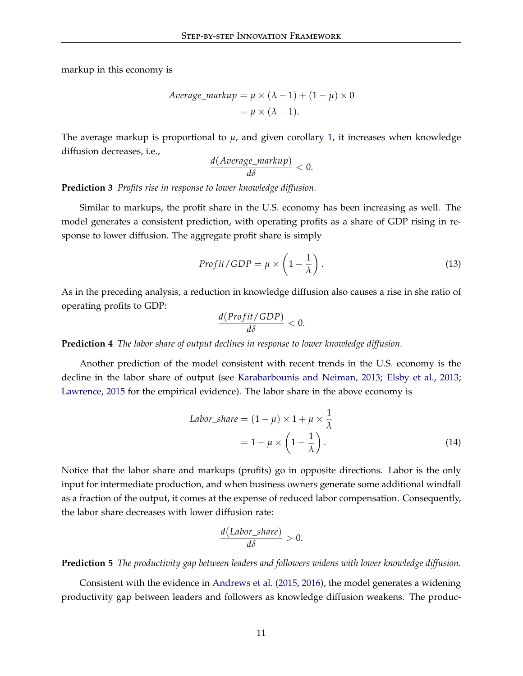markup in this economy is

$$
Average\_markup = \mu \times (\lambda - 1) + (1 - \mu) \times 0
$$

$$
= \mu \times (\lambda - 1).
$$

The average markup is proportional to  $\mu$ , and given corollary [1,](#page-9-3) it increases when knowledge diffusion decreases, i.e.,

$$
\frac{d(Average\_markup)}{d\delta} < 0.
$$

**Prediction 3** *Profits rise in response to lower knowledge diffusion.*

Similar to markups, the profit share in the U.S. economy has been increasing as well. The model generates a consistent prediction, with operating profits as a share of GDP rising in response to lower diffusion. The aggregate profit share is simply

$$
Profit/GDP = \mu \times \left(1 - \frac{1}{\lambda}\right). \tag{13}
$$

As in the preceding analysis, a reduction in knowledge diffusion also causes a rise in she ratio of operating profits to GDP:

$$
\frac{d(Profit/GDP)}{d\delta} < 0.
$$

**Prediction 4** *The labor share of output declines in response to lower knowledge diffusion.*

Another prediction of the model consistent with recent trends in the U.S. economy is the decline in the labor share of output (see [Karabarbounis and Neiman,](#page-22-5) [2013;](#page-22-5) [Elsby et al.,](#page-21-13) [2013;](#page-21-13) [Lawrence,](#page-22-6) [2015](#page-22-6) for the empirical evidence). The labor share in the above economy is

$$
Labor\_share = (1 - \mu) \times 1 + \mu \times \frac{1}{\lambda}
$$

$$
= 1 - \mu \times \left(1 - \frac{1}{\lambda}\right). \tag{14}
$$

Notice that the labor share and markups (profits) go in opposite directions. Labor is the only input for intermediate production, and when business owners generate some additional windfall as a fraction of the output, it comes at the expense of reduced labor compensation. Consequently, the labor share decreases with lower diffusion rate:

$$
\frac{d(Labor\_share)}{d\delta} > 0.
$$

**Prediction 5** *The productivity gap between leaders and followers widens with lower knowledge diffusion.*

Consistent with the evidence in [Andrews et al.](#page-20-12) [\(2015,](#page-20-12) [2016\)](#page-20-13), the model generates a widening productivity gap between leaders and followers as knowledge diffusion weakens. The produc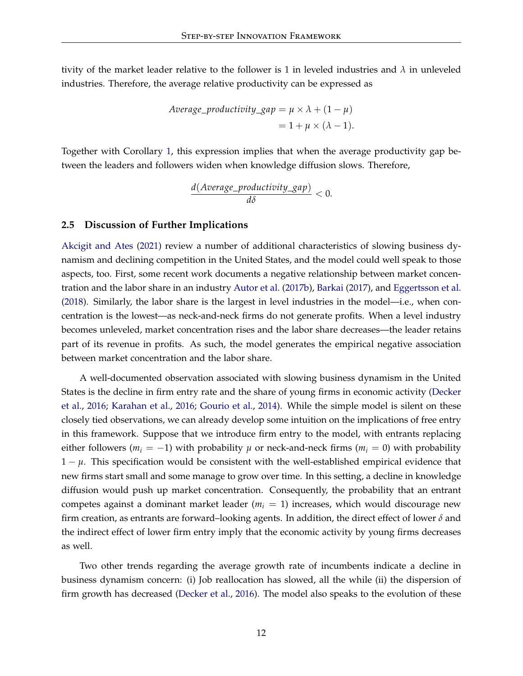tivity of the market leader relative to the follower is 1 in leveled industries and *λ* in unleveled industries. Therefore, the average relative productivity can be expressed as

*Average-productivity*<sub>2</sub>*gap* = 
$$
\mu \times \lambda + (1 - \mu)
$$
  
=  $1 + \mu \times (\lambda - 1)$ .

Together with Corollary [1,](#page-9-3) this expression implies that when the average productivity gap between the leaders and followers widen when knowledge diffusion slows. Therefore,

$$
\frac{d(Average\_productivity\_gap)}{d\delta} < 0.
$$

#### **2.5 Discussion of Further Implications**

[Akcigit and Ates](#page-20-0) [\(2021\)](#page-20-0) review a number of additional characteristics of slowing business dynamism and declining competition in the United States, and the model could well speak to those aspects, too. First, some recent work documents a negative relationship between market concentration and the labor share in an industry [Autor et al.](#page-20-11) [\(2017b\)](#page-20-11), [Barkai](#page-20-14) [\(2017\)](#page-20-14), and [Eggertsson et al.](#page-21-11) [\(2018\)](#page-21-11). Similarly, the labor share is the largest in level industries in the model—i.e., when concentration is the lowest—as neck-and-neck firms do not generate profits. When a level industry becomes unleveled, market concentration rises and the labor share decreases—the leader retains part of its revenue in profits. As such, the model generates the empirical negative association between market concentration and the labor share.

A well-documented observation associated with slowing business dynamism in the United States is the decline in firm entry rate and the share of young firms in economic activity [\(Decker](#page-21-14) [et al.,](#page-21-14) [2016;](#page-21-14) [Karahan et al.,](#page-22-7) [2016;](#page-22-7) [Gourio et al.,](#page-21-15) [2014\)](#page-21-15). While the simple model is silent on these closely tied observations, we can already develop some intuition on the implications of free entry in this framework. Suppose that we introduce firm entry to the model, with entrants replacing either followers ( $m_i = -1$ ) with probability  $\mu$  or neck-and-neck firms ( $m_i = 0$ ) with probability 1 − *µ*. This specification would be consistent with the well-established empirical evidence that new firms start small and some manage to grow over time. In this setting, a decline in knowledge diffusion would push up market concentration. Consequently, the probability that an entrant competes against a dominant market leader  $(m<sub>i</sub> = 1)$  increases, which would discourage new firm creation, as entrants are forward–looking agents. In addition, the direct effect of lower *δ* and the indirect effect of lower firm entry imply that the economic activity by young firms decreases as well.

Two other trends regarding the average growth rate of incumbents indicate a decline in business dynamism concern: (i) Job reallocation has slowed, all the while (ii) the dispersion of firm growth has decreased [\(Decker et al.,](#page-21-14) [2016\)](#page-21-14). The model also speaks to the evolution of these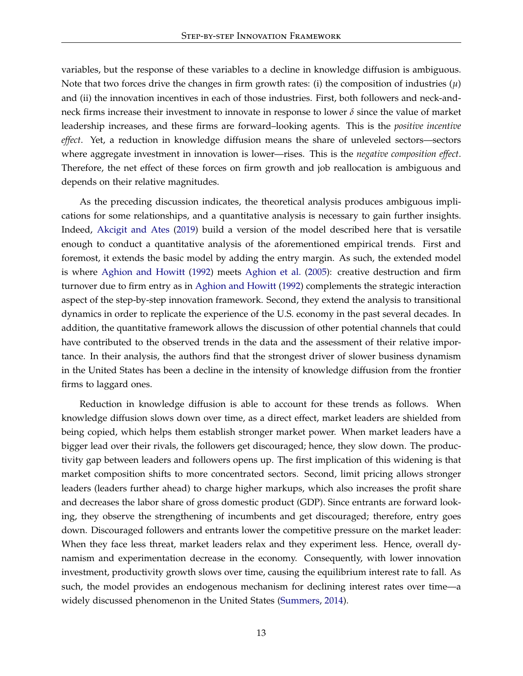variables, but the response of these variables to a decline in knowledge diffusion is ambiguous. Note that two forces drive the changes in firm growth rates: (i) the composition of industries (*µ*) and (ii) the innovation incentives in each of those industries. First, both followers and neck-andneck firms increase their investment to innovate in response to lower *δ* since the value of market leadership increases, and these firms are forward–looking agents. This is the *positive incentive effect*. Yet, a reduction in knowledge diffusion means the share of unleveled sectors—sectors where aggregate investment in innovation is lower—rises. This is the *negative composition effect*. Therefore, the net effect of these forces on firm growth and job reallocation is ambiguous and depends on their relative magnitudes.

As the preceding discussion indicates, the theoretical analysis produces ambiguous implications for some relationships, and a quantitative analysis is necessary to gain further insights. Indeed, [Akcigit and Ates](#page-20-7) [\(2019\)](#page-20-7) build a version of the model described here that is versatile enough to conduct a quantitative analysis of the aforementioned empirical trends. First and foremost, it extends the basic model by adding the entry margin. As such, the extended model is where [Aghion and Howitt](#page-20-2) [\(1992\)](#page-20-2) meets [Aghion et al.](#page-20-5) [\(2005\)](#page-20-5): creative destruction and firm turnover due to firm entry as in [Aghion and Howitt](#page-20-2) [\(1992\)](#page-20-2) complements the strategic interaction aspect of the step-by-step innovation framework. Second, they extend the analysis to transitional dynamics in order to replicate the experience of the U.S. economy in the past several decades. In addition, the quantitative framework allows the discussion of other potential channels that could have contributed to the observed trends in the data and the assessment of their relative importance. In their analysis, the authors find that the strongest driver of slower business dynamism in the United States has been a decline in the intensity of knowledge diffusion from the frontier firms to laggard ones.

Reduction in knowledge diffusion is able to account for these trends as follows. When knowledge diffusion slows down over time, as a direct effect, market leaders are shielded from being copied, which helps them establish stronger market power. When market leaders have a bigger lead over their rivals, the followers get discouraged; hence, they slow down. The productivity gap between leaders and followers opens up. The first implication of this widening is that market composition shifts to more concentrated sectors. Second, limit pricing allows stronger leaders (leaders further ahead) to charge higher markups, which also increases the profit share and decreases the labor share of gross domestic product (GDP). Since entrants are forward looking, they observe the strengthening of incumbents and get discouraged; therefore, entry goes down. Discouraged followers and entrants lower the competitive pressure on the market leader: When they face less threat, market leaders relax and they experiment less. Hence, overall dynamism and experimentation decrease in the economy. Consequently, with lower innovation investment, productivity growth slows over time, causing the equilibrium interest rate to fall. As such, the model provides an endogenous mechanism for declining interest rates over time—a widely discussed phenomenon in the United States [\(Summers,](#page-22-8) [2014\)](#page-22-8).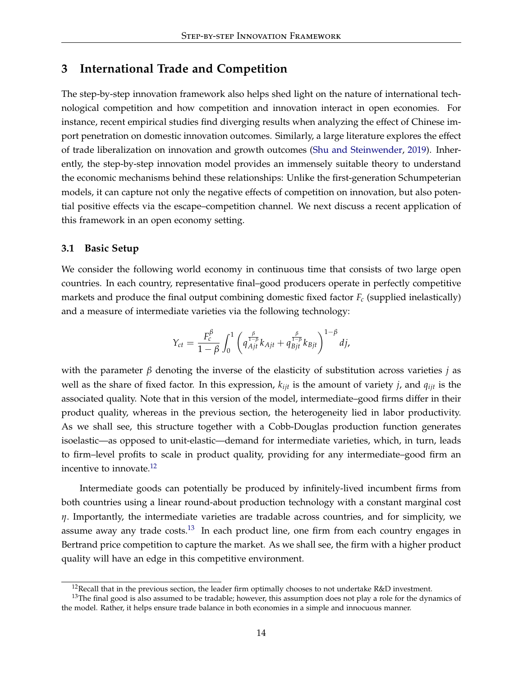### <span id="page-14-0"></span>**3 International Trade and Competition**

The step-by-step innovation framework also helps shed light on the nature of international technological competition and how competition and innovation interact in open economies. For instance, recent empirical studies find diverging results when analyzing the effect of Chinese import penetration on domestic innovation outcomes. Similarly, a large literature explores the effect of trade liberalization on innovation and growth outcomes [\(Shu and Steinwender,](#page-22-9) [2019\)](#page-22-9). Inherently, the step-by-step innovation model provides an immensely suitable theory to understand the economic mechanisms behind these relationships: Unlike the first-generation Schumpeterian models, it can capture not only the negative effects of competition on innovation, but also potential positive effects via the escape–competition channel. We next discuss a recent application of this framework in an open economy setting.

### **3.1 Basic Setup**

We consider the following world economy in continuous time that consists of two large open countries. In each country, representative final–good producers operate in perfectly competitive markets and produce the final output combining domestic fixed factor  $F_c$  (supplied inelastically) and a measure of intermediate varieties via the following technology:

$$
Y_{ct} = \frac{F_c^{\beta}}{1-\beta} \int_0^1 \left( q_{Ajt}^{\frac{\beta}{1-\beta}} k_{Ajt} + q_{Bjt}^{\frac{\beta}{1-\beta}} k_{Bjt} \right)^{1-\beta} dj,
$$

with the parameter *β* denoting the inverse of the elasticity of substitution across varieties *j* as well as the share of fixed factor. In this expression, *kijt* is the amount of variety *j*, and *qijt* is the associated quality. Note that in this version of the model, intermediate–good firms differ in their product quality, whereas in the previous section, the heterogeneity lied in labor productivity. As we shall see, this structure together with a Cobb-Douglas production function generates isoelastic—as opposed to unit-elastic—demand for intermediate varieties, which, in turn, leads to firm–level profits to scale in product quality, providing for any intermediate–good firm an incentive to innovate. $^{12}$  $^{12}$  $^{12}$ 

Intermediate goods can potentially be produced by infinitely-lived incumbent firms from both countries using a linear round-about production technology with a constant marginal cost *η*. Importantly, the intermediate varieties are tradable across countries, and for simplicity, we assume away any trade  $costs$ <sup>[13](#page-14-2)</sup> In each product line, one firm from each country engages in Bertrand price competition to capture the market. As we shall see, the firm with a higher product quality will have an edge in this competitive environment.

<span id="page-14-2"></span><span id="page-14-1"></span><sup>&</sup>lt;sup>12</sup>Recall that in the previous section, the leader firm optimally chooses to not undertake R&D investment.

 $13$ The final good is also assumed to be tradable; however, this assumption does not play a role for the dynamics of the model. Rather, it helps ensure trade balance in both economies in a simple and innocuous manner.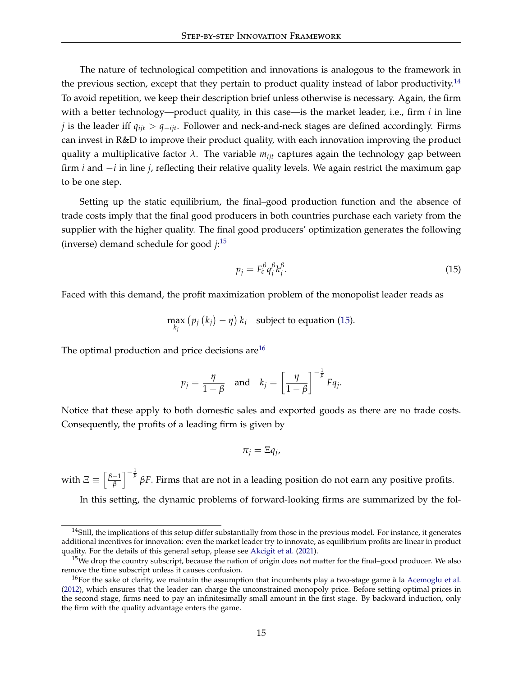The nature of technological competition and innovations is analogous to the framework in the previous section, except that they pertain to product quality instead of labor productivity.<sup>[14](#page-15-0)</sup> To avoid repetition, we keep their description brief unless otherwise is necessary. Again, the firm with a better technology—product quality, in this case—is the market leader, i.e., firm *i* in line *j* is the leader iff *qijt* > *q*−*ijt*. Follower and neck-and-neck stages are defined accordingly. Firms can invest in R&D to improve their product quality, with each innovation improving the product quality a multiplicative factor *λ*. The variable *mijt* captures again the technology gap between firm *i* and −*i* in line *j*, reflecting their relative quality levels. We again restrict the maximum gap to be one step.

Setting up the static equilibrium, the final–good production function and the absence of trade costs imply that the final good producers in both countries purchase each variety from the supplier with the higher quality. The final good producers' optimization generates the following (inverse) demand schedule for good *j*: [15](#page-15-1)

<span id="page-15-2"></span>
$$
p_j = F_c^{\beta} q_j^{\beta} k_j^{\beta}.
$$
 (15)

Faced with this demand, the profit maximization problem of the monopolist leader reads as

$$
\max_{k_j} (p_j(k_j) - \eta) k_j
$$
 subject to equation (15).

The optimal production and price decisions are  $16$ 

$$
p_j = \frac{\eta}{1-\beta}
$$
 and  $k_j = \left[\frac{\eta}{1-\beta}\right]^{-\frac{1}{\beta}} F q_j$ .

Notice that these apply to both domestic sales and exported goods as there are no trade costs. Consequently, the profits of a leading firm is given by

$$
\pi_j = \Xi q_j,
$$

with  $\Xi \equiv \left[\frac{\beta-1}{\beta}\right]$ *β*  $\int^{-\frac{1}{\beta}}$  βF. Firms that are not in a leading position do not earn any positive profits.

In this setting, the dynamic problems of forward-looking firms are summarized by the fol-

<span id="page-15-0"></span><sup>&</sup>lt;sup>14</sup>Still, the implications of this setup differ substantially from those in the previous model. For instance, it generates additional incentives for innovation: even the market leader try to innovate, as equilibrium profits are linear in product quality. For the details of this general setup, please see [Akcigit et al.](#page-20-1) [\(2021\)](#page-20-1).

<span id="page-15-1"></span><sup>&</sup>lt;sup>15</sup>We drop the country subscript, because the nation of origin does not matter for the final–good producer. We also remove the time subscript unless it causes confusion.

<span id="page-15-3"></span><sup>&</sup>lt;sup>16</sup>For the sake of clarity, we maintain the assumption that incumbents play a two-stage game à la [Acemoglu et al.](#page-19-2) [\(2012\)](#page-19-2), which ensures that the leader can charge the unconstrained monopoly price. Before setting optimal prices in the second stage, firms need to pay an infinitesimally small amount in the first stage. By backward induction, only the firm with the quality advantage enters the game.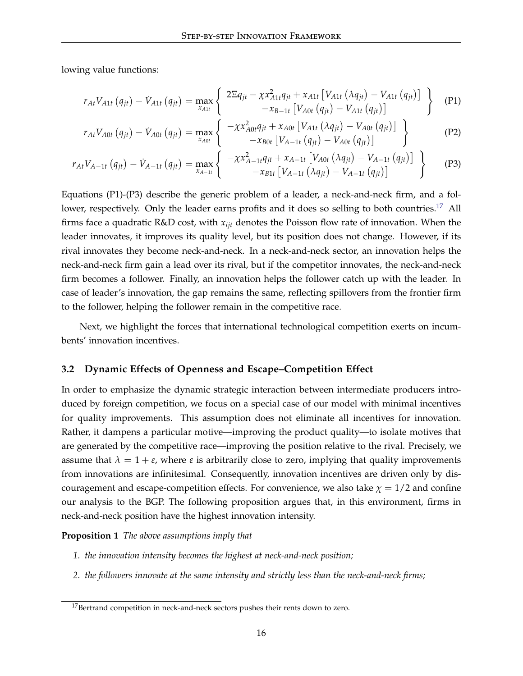lowing value functions:

$$
r_{At}V_{A1t}(q_{jt}) - \dot{V}_{A1t}(q_{jt}) = \max_{x_{A1t}} \left\{ \begin{array}{c} 2\Xi q_{jt} - \chi x_{A1t}^2 q_{jt} + x_{A1t} \left[ V_{A1t} \left( \lambda q_{jt} \right) - V_{A1t} \left( q_{jt} \right) \right] \\ -x_{B-1t} \left[ V_{A0t} \left( q_{jt} \right) - V_{A1t} \left( q_{jt} \right) \right] \end{array} \right\} \tag{P1}
$$

$$
r_{At}V_{A0t} (q_{jt}) - \dot{V}_{A0t} (q_{jt}) = \max_{x_{A0t}} \left\{ \begin{array}{c} -\chi x_{A0t}^2 q_{jt} + x_{A0t} \left[ V_{A1t} (\lambda q_{jt}) - V_{A0t} (q_{jt}) \right] \\ -x_{B0t} \left[ V_{A-1t} (q_{jt}) - V_{A0t} (q_{jt}) \right] \end{array} \right\}
$$
(P2)

$$
r_{At}V_{A-1t}(q_{jt}) - \dot{V}_{A-1t}(q_{jt}) = \max_{x_{A-1t}} \left\{ \begin{array}{c} -\chi x_{A-1t}^2 q_{jt} + x_{A-1t} \left[ V_{A0t} \left( \lambda q_{jt} \right) - V_{A-1t} \left( q_{jt} \right) \right] \\ -x_{B1t} \left[ V_{A-1t} \left( \lambda q_{jt} \right) - V_{A-1t} \left( q_{jt} \right) \right] \end{array} \right\} \tag{P3}
$$

Equations (P1)-(P3) describe the generic problem of a leader, a neck-and-neck firm, and a fol-lower, respectively. Only the leader earns profits and it does so selling to both countries.<sup>[17](#page-16-0)</sup> All firms face a quadratic R&D cost, with *xijt* denotes the Poisson flow rate of innovation. When the leader innovates, it improves its quality level, but its position does not change. However, if its rival innovates they become neck-and-neck. In a neck-and-neck sector, an innovation helps the neck-and-neck firm gain a lead over its rival, but if the competitor innovates, the neck-and-neck firm becomes a follower. Finally, an innovation helps the follower catch up with the leader. In case of leader's innovation, the gap remains the same, reflecting spillovers from the frontier firm to the follower, helping the follower remain in the competitive race.

Next, we highlight the forces that international technological competition exerts on incumbents' innovation incentives.

### **3.2 Dynamic Effects of Openness and Escape–Competition Effect**

In order to emphasize the dynamic strategic interaction between intermediate producers introduced by foreign competition, we focus on a special case of our model with minimal incentives for quality improvements. This assumption does not eliminate all incentives for innovation. Rather, it dampens a particular motive—improving the product quality—to isolate motives that are generated by the competitive race—improving the position relative to the rival. Precisely, we assume that  $\lambda = 1 + \varepsilon$ , where  $\varepsilon$  is arbitrarily close to zero, implying that quality improvements from innovations are infinitesimal. Consequently, innovation incentives are driven only by discouragement and escape-competition effects. For convenience, we also take  $\chi = 1/2$  and confine our analysis to the BGP. The following proposition argues that, in this environment, firms in neck-and-neck position have the highest innovation intensity.

#### <span id="page-16-1"></span>**Proposition 1** *The above assumptions imply that*

- *1. the innovation intensity becomes the highest at neck-and-neck position;*
- *2. the followers innovate at the same intensity and strictly less than the neck-and-neck firms;*

<span id="page-16-0"></span><sup>&</sup>lt;sup>17</sup>Bertrand competition in neck-and-neck sectors pushes their rents down to zero.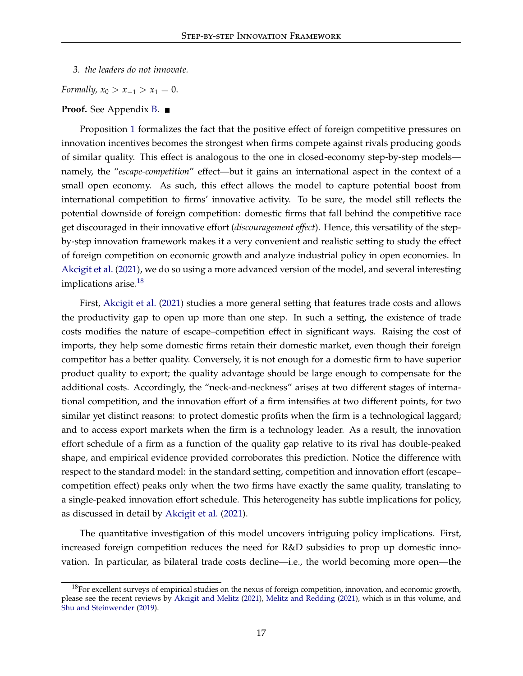*3. the leaders do not innovate.*

*Formally,*  $x_0 > x_{-1} > x_1 = 0$ .

#### **Proof.** See Appendix **B**. ■

Proposition [1](#page-16-1) formalizes the fact that the positive effect of foreign competitive pressures on innovation incentives becomes the strongest when firms compete against rivals producing goods of similar quality. This effect is analogous to the one in closed-economy step-by-step models namely, the "*escape-competition*" effect—but it gains an international aspect in the context of a small open economy. As such, this effect allows the model to capture potential boost from international competition to firms' innovative activity. To be sure, the model still reflects the potential downside of foreign competition: domestic firms that fall behind the competitive race get discouraged in their innovative effort (*discouragement effect*). Hence, this versatility of the stepby-step innovation framework makes it a very convenient and realistic setting to study the effect of foreign competition on economic growth and analyze industrial policy in open economies. In [Akcigit et al.](#page-20-1) [\(2021\)](#page-20-1), we do so using a more advanced version of the model, and several interesting implications arise.<sup>[18](#page-17-0)</sup>

First, [Akcigit et al.](#page-20-1) [\(2021\)](#page-20-1) studies a more general setting that features trade costs and allows the productivity gap to open up more than one step. In such a setting, the existence of trade costs modifies the nature of escape–competition effect in significant ways. Raising the cost of imports, they help some domestic firms retain their domestic market, even though their foreign competitor has a better quality. Conversely, it is not enough for a domestic firm to have superior product quality to export; the quality advantage should be large enough to compensate for the additional costs. Accordingly, the "neck-and-neckness" arises at two different stages of international competition, and the innovation effort of a firm intensifies at two different points, for two similar yet distinct reasons: to protect domestic profits when the firm is a technological laggard; and to access export markets when the firm is a technology leader. As a result, the innovation effort schedule of a firm as a function of the quality gap relative to its rival has double-peaked shape, and empirical evidence provided corroborates this prediction. Notice the difference with respect to the standard model: in the standard setting, competition and innovation effort (escape– competition effect) peaks only when the two firms have exactly the same quality, translating to a single-peaked innovation effort schedule. This heterogeneity has subtle implications for policy, as discussed in detail by [Akcigit et al.](#page-20-1) [\(2021\)](#page-20-1).

The quantitative investigation of this model uncovers intriguing policy implications. First, increased foreign competition reduces the need for R&D subsidies to prop up domestic innovation. In particular, as bilateral trade costs decline—i.e., the world becoming more open—the

<span id="page-17-0"></span> $18$ For excellent surveys of empirical studies on the nexus of foreign competition, innovation, and economic growth, please see the recent reviews by [Akcigit and Melitz](#page-20-15) [\(2021\)](#page-20-15), [Melitz and Redding](#page-22-10) [\(2021\)](#page-22-10), which is in this volume, and [Shu and Steinwender](#page-22-9) [\(2019\)](#page-22-9).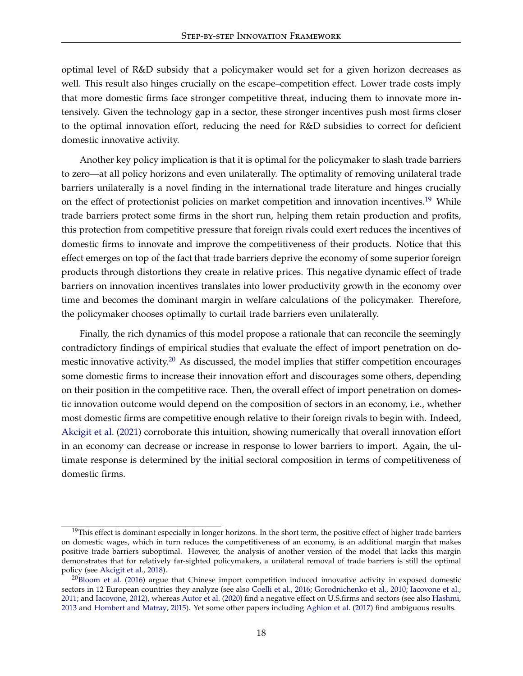optimal level of R&D subsidy that a policymaker would set for a given horizon decreases as well. This result also hinges crucially on the escape–competition effect. Lower trade costs imply that more domestic firms face stronger competitive threat, inducing them to innovate more intensively. Given the technology gap in a sector, these stronger incentives push most firms closer to the optimal innovation effort, reducing the need for R&D subsidies to correct for deficient domestic innovative activity.

Another key policy implication is that it is optimal for the policymaker to slash trade barriers to zero—at all policy horizons and even unilaterally. The optimality of removing unilateral trade barriers unilaterally is a novel finding in the international trade literature and hinges crucially on the effect of protectionist policies on market competition and innovation incentives.<sup>[19](#page-18-0)</sup> While trade barriers protect some firms in the short run, helping them retain production and profits, this protection from competitive pressure that foreign rivals could exert reduces the incentives of domestic firms to innovate and improve the competitiveness of their products. Notice that this effect emerges on top of the fact that trade barriers deprive the economy of some superior foreign products through distortions they create in relative prices. This negative dynamic effect of trade barriers on innovation incentives translates into lower productivity growth in the economy over time and becomes the dominant margin in welfare calculations of the policymaker. Therefore, the policymaker chooses optimally to curtail trade barriers even unilaterally.

Finally, the rich dynamics of this model propose a rationale that can reconcile the seemingly contradictory findings of empirical studies that evaluate the effect of import penetration on do-mestic innovative activity.<sup>[20](#page-18-1)</sup> As discussed, the model implies that stiffer competition encourages some domestic firms to increase their innovation effort and discourages some others, depending on their position in the competitive race. Then, the overall effect of import penetration on domestic innovation outcome would depend on the composition of sectors in an economy, i.e., whether most domestic firms are competitive enough relative to their foreign rivals to begin with. Indeed, [Akcigit et al.](#page-20-1) [\(2021\)](#page-20-1) corroborate this intuition, showing numerically that overall innovation effort in an economy can decrease or increase in response to lower barriers to import. Again, the ultimate response is determined by the initial sectoral composition in terms of competitiveness of domestic firms.

<span id="page-18-0"></span> $19$ This effect is dominant especially in longer horizons. In the short term, the positive effect of higher trade barriers on domestic wages, which in turn reduces the competitiveness of an economy, is an additional margin that makes positive trade barriers suboptimal. However, the analysis of another version of the model that lacks this margin demonstrates that for relatively far-sighted policymakers, a unilateral removal of trade barriers is still the optimal policy (see [Akcigit et al.,](#page-20-8) [2018\)](#page-20-8).

<span id="page-18-1"></span> $20B$ loom et al. [\(2016\)](#page-20-16) argue that Chinese import competition induced innovative activity in exposed domestic sectors in 12 European countries they analyze (see also [Coelli et al.,](#page-21-16) [2016;](#page-21-16) [Gorodnichenko et al.,](#page-21-17) [2010;](#page-21-17) [Iacovone et al.,](#page-22-11) [2011;](#page-22-11) and [Iacovone,](#page-22-12) [2012\)](#page-22-12), whereas [Autor et al.](#page-20-17) [\(2020\)](#page-20-17) find a negative effect on U.S.firms and sectors (see also [Hashmi,](#page-22-13) [2013](#page-22-13) and [Hombert and Matray,](#page-22-14) [2015\)](#page-22-14). Yet some other papers including [Aghion et al.](#page-19-3) [\(2017\)](#page-19-3) find ambiguous results.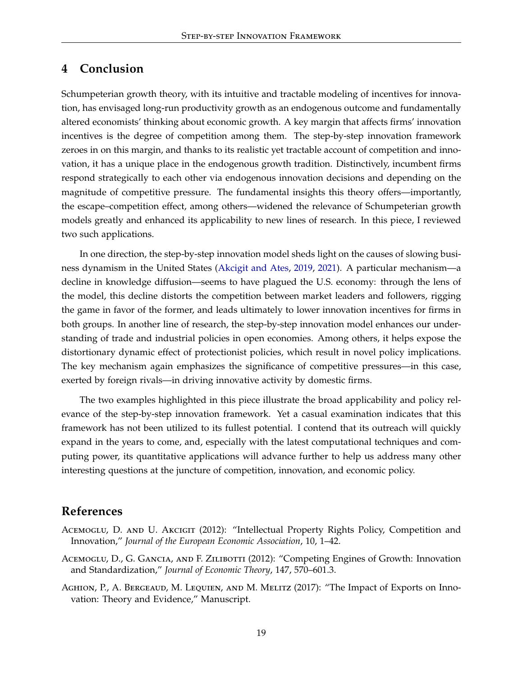### <span id="page-19-1"></span>**4 Conclusion**

Schumpeterian growth theory, with its intuitive and tractable modeling of incentives for innovation, has envisaged long-run productivity growth as an endogenous outcome and fundamentally altered economists' thinking about economic growth. A key margin that affects firms' innovation incentives is the degree of competition among them. The step-by-step innovation framework zeroes in on this margin, and thanks to its realistic yet tractable account of competition and innovation, it has a unique place in the endogenous growth tradition. Distinctively, incumbent firms respond strategically to each other via endogenous innovation decisions and depending on the magnitude of competitive pressure. The fundamental insights this theory offers—importantly, the escape–competition effect, among others—widened the relevance of Schumpeterian growth models greatly and enhanced its applicability to new lines of research. In this piece, I reviewed two such applications.

In one direction, the step-by-step innovation model sheds light on the causes of slowing business dynamism in the United States [\(Akcigit and Ates,](#page-20-7) [2019,](#page-20-7) [2021\)](#page-20-0). A particular mechanism—a decline in knowledge diffusion—seems to have plagued the U.S. economy: through the lens of the model, this decline distorts the competition between market leaders and followers, rigging the game in favor of the former, and leads ultimately to lower innovation incentives for firms in both groups. In another line of research, the step-by-step innovation model enhances our understanding of trade and industrial policies in open economies. Among others, it helps expose the distortionary dynamic effect of protectionist policies, which result in novel policy implications. The key mechanism again emphasizes the significance of competitive pressures—in this case, exerted by foreign rivals—in driving innovative activity by domestic firms.

The two examples highlighted in this piece illustrate the broad applicability and policy relevance of the step-by-step innovation framework. Yet a casual examination indicates that this framework has not been utilized to its fullest potential. I contend that its outreach will quickly expand in the years to come, and, especially with the latest computational techniques and computing power, its quantitative applications will advance further to help us address many other interesting questions at the juncture of competition, innovation, and economic policy.

### **References**

- <span id="page-19-0"></span>ACEMOGLU, D. AND U. AKCIGIT (2012): "Intellectual Property Rights Policy, Competition and Innovation," *Journal of the European Economic Association*, 10, 1–42.
- <span id="page-19-2"></span>ACEMOGLU, D., G. GANCIA, AND F. ZILIBOTTI (2012): "Competing Engines of Growth: Innovation and Standardization," *Journal of Economic Theory*, 147, 570–601.3.
- <span id="page-19-3"></span>AGHION, P., A. BERGEAUD, M. LEQUIEN, AND M. MELITZ (2017): "The Impact of Exports on Innovation: Theory and Evidence," Manuscript.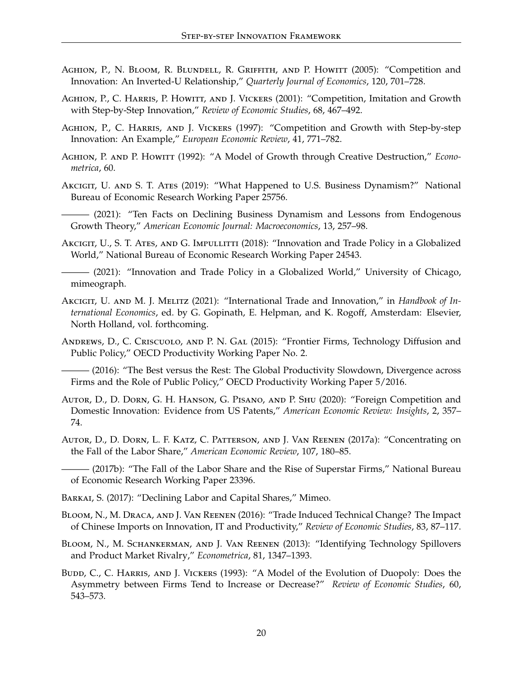- <span id="page-20-5"></span>AGHION, P., N. BLOOM, R. BLUNDELL, R. GRIFFITH, AND P. HOWITT (2005): "Competition and Innovation: An Inverted-U Relationship," *Quarterly Journal of Economics*, 120, 701–728.
- <span id="page-20-4"></span>AGHION, P., C. HARRIS, P. HOWITT, AND J. VICKERS (2001): "Competition, Imitation and Growth with Step-by-Step Innovation," *Review of Economic Studies*, 68, 467–492.
- <span id="page-20-3"></span>Aghion, P., C. Harris, and J. Vickers (1997): "Competition and Growth with Step-by-step Innovation: An Example," *European Economic Review*, 41, 771–782.
- <span id="page-20-2"></span>Aghion, P. and P. Howitt (1992): "A Model of Growth through Creative Destruction," *Econometrica*, 60.
- <span id="page-20-7"></span>Akcigit, U. and S. T. Ates (2019): "What Happened to U.S. Business Dynamism?" National Bureau of Economic Research Working Paper 25756.
- <span id="page-20-0"></span>- (2021): "Ten Facts on Declining Business Dynamism and Lessons from Endogenous Growth Theory," *American Economic Journal: Macroeconomics*, 13, 257–98.
- <span id="page-20-8"></span>AKCIGIT, U., S. T. ATES, AND G. IMPULLITTI (2018): "Innovation and Trade Policy in a Globalized World," National Bureau of Economic Research Working Paper 24543.

<span id="page-20-1"></span> $(2021)$ : "Innovation and Trade Policy in a Globalized World," University of Chicago, mimeograph.

- <span id="page-20-15"></span>Akcigit, U. and M. J. Melitz (2021): "International Trade and Innovation," in *Handbook of International Economics*, ed. by G. Gopinath, E. Helpman, and K. Rogoff, Amsterdam: Elsevier, North Holland, vol. forthcoming.
- <span id="page-20-12"></span>Andrews, D., C. Criscuolo, and P. N. Gal (2015): "Frontier Firms, Technology Diffusion and Public Policy," OECD Productivity Working Paper No. 2.

<span id="page-20-13"></span>— (2016): "The Best versus the Rest: The Global Productivity Slowdown, Divergence across Firms and the Role of Public Policy," OECD Productivity Working Paper 5/2016.

- <span id="page-20-17"></span>Autor, D., D. Dorn, G. H. Hanson, G. Pisano, and P. Shu (2020): "Foreign Competition and Domestic Innovation: Evidence from US Patents," *American Economic Review: Insights*, 2, 357– 74.
- <span id="page-20-10"></span>Autor, D., D. Dorn, L. F. Katz, C. Patterson, and J. Van Reenen (2017a): "Concentrating on the Fall of the Labor Share," *American Economic Review*, 107, 180–85.

<span id="page-20-11"></span> $-$  (2017b): "The Fall of the Labor Share and the Rise of Superstar Firms," National Bureau of Economic Research Working Paper 23396.

<span id="page-20-14"></span>BARKAI, S. (2017): "Declining Labor and Capital Shares," Mimeo.

<span id="page-20-16"></span>Bloom, N., M. Draca, and J. Van Reenen (2016): "Trade Induced Technical Change? The Impact of Chinese Imports on Innovation, IT and Productivity," *Review of Economic Studies*, 83, 87–117.

- <span id="page-20-9"></span>Bloom, N., M. Schankerman, and J. Van Reenen (2013): "Identifying Technology Spillovers and Product Market Rivalry," *Econometrica*, 81, 1347–1393.
- <span id="page-20-6"></span>BUDD, C., C. HARRIS, AND J. VICKERS (1993): "A Model of the Evolution of Duopoly: Does the Asymmetry between Firms Tend to Increase or Decrease?" *Review of Economic Studies*, 60, 543–573.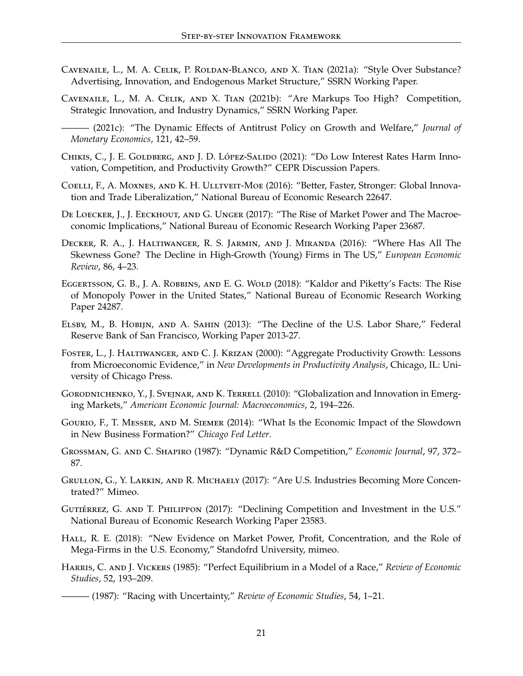- <span id="page-21-5"></span>Cavenaile, L., M. A. Celik, P. Roldan-Blanco, and X. Tian (2021a): "Style Over Substance? Advertising, Innovation, and Endogenous Market Structure," SSRN Working Paper.
- <span id="page-21-4"></span>Cavenaile, L., M. A. Celik, and X. Tian (2021b): "Are Markups Too High? Competition, Strategic Innovation, and Industry Dynamics," SSRN Working Paper.

- <span id="page-21-3"></span>CHIKIS, C., J. E. GOLDBERG, AND J. D. LÓPEZ-SALIDO (2021): "Do Low Interest Rates Harm Innovation, Competition, and Productivity Growth?" CEPR Discussion Papers.
- <span id="page-21-16"></span>Coelli, F., A. Moxnes, and K. H. Ulltveit-Moe (2016): "Better, Faster, Stronger: Global Innovation and Trade Liberalization," National Bureau of Economic Research 22647.
- <span id="page-21-9"></span>De Loecker, J., J. Eeckhout, and G. Unger (2017): "The Rise of Market Power and The Macroeconomic Implications," National Bureau of Economic Research Working Paper 23687.
- <span id="page-21-14"></span>Decker, R. A., J. Haltiwanger, R. S. Jarmin, and J. Miranda (2016): "Where Has All The Skewness Gone? The Decline in High-Growth (Young) Firms in The US," *European Economic Review*, 86, 4–23.
- <span id="page-21-11"></span>EGGERTSSON, G. B., J. A. ROBBINS, AND E. G. WOLD (2018): "Kaldor and Piketty's Facts: The Rise of Monopoly Power in the United States," National Bureau of Economic Research Working Paper 24287.
- <span id="page-21-13"></span>Elsby, M., B. Hobijn, and A. Sahin (2013): "The Decline of the U.S. Labor Share," Federal Reserve Bank of San Francisco, Working Paper 2013-27.
- <span id="page-21-7"></span>Foster, L., J. Haltiwanger, and C. J. Krizan (2000): "Aggregate Productivity Growth: Lessons from Microeconomic Evidence," in *New Developments in Productivity Analysis*, Chicago, IL: University of Chicago Press.
- <span id="page-21-17"></span>GORODNICHENKO, Y., J. SVEJNAR, AND K. TERRELL (2010): "Globalization and Innovation in Emerging Markets," *American Economic Journal: Macroeconomics*, 2, 194–226.
- <span id="page-21-15"></span>Gourio, F., T. Messer, and M. Siemer (2014): "What Is the Economic Impact of the Slowdown in New Business Formation?" *Chicago Fed Letter*.
- <span id="page-21-2"></span>Grossman, G. and C. Shapiro (1987): "Dynamic R&D Competition," *Economic Journal*, 97, 372– 87.
- <span id="page-21-8"></span>Grullon, G., Y. Larkin, and R. Michaely (2017): "Are U.S. Industries Becoming More Concentrated?" Mimeo.
- <span id="page-21-10"></span>GUTIÉRREZ, G. AND T. PHILIPPON (2017): "Declining Competition and Investment in the U.S." National Bureau of Economic Research Working Paper 23583.
- <span id="page-21-12"></span>Hall, R. E. (2018): "New Evidence on Market Power, Profit, Concentration, and the Role of Mega-Firms in the U.S. Economy," Standofrd University, mimeo.
- <span id="page-21-1"></span><span id="page-21-0"></span>Harris, C. and J. Vickers (1985): "Perfect Equilibrium in a Model of a Race," *Review of Economic Studies*, 52, 193–209.
	- ——— (1987): "Racing with Uncertainty," *Review of Economic Studies*, 54, 1–21.

<span id="page-21-6"></span><sup>——— (2021</sup>c): "The Dynamic Effects of Antitrust Policy on Growth and Welfare," *Journal of Monetary Economics*, 121, 42–59.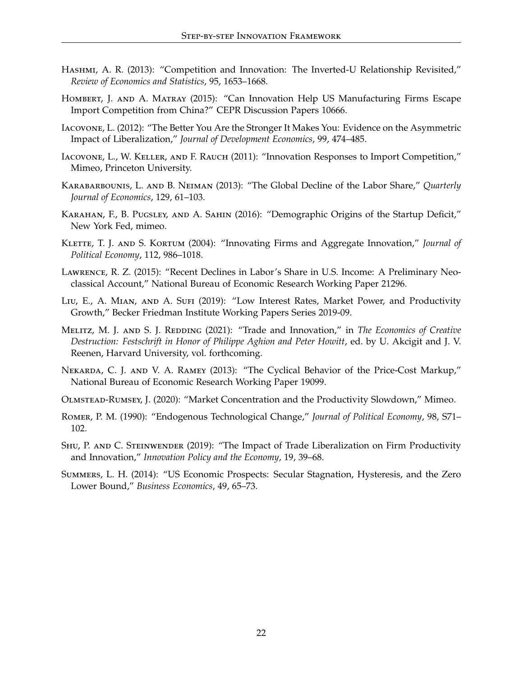- <span id="page-22-13"></span>HASHMI, A. R. (2013): "Competition and Innovation: The Inverted-U Relationship Revisited," *Review of Economics and Statistics*, 95, 1653–1668.
- <span id="page-22-14"></span>Hombert, J. and A. Matray (2015): "Can Innovation Help US Manufacturing Firms Escape Import Competition from China?" CEPR Discussion Papers 10666.
- <span id="page-22-12"></span>Iacovone, L. (2012): "The Better You Are the Stronger It Makes You: Evidence on the Asymmetric Impact of Liberalization," *Journal of Development Economics*, 99, 474–485.
- <span id="page-22-11"></span>Iacovone, L., W. Keller, and F. Rauch (2011): "Innovation Responses to Import Competition," Mimeo, Princeton University.
- <span id="page-22-5"></span>Karabarbounis, L. and B. Neiman (2013): "The Global Decline of the Labor Share," *Quarterly Journal of Economics*, 129, 61–103.
- <span id="page-22-7"></span>Karahan, F., B. Pugsley, and A. Sahin (2016): "Demographic Origins of the Startup Deficit," New York Fed, mimeo.
- <span id="page-22-1"></span>Klette, T. J. and S. Kortum (2004): "Innovating Firms and Aggregate Innovation," *Journal of Political Economy*, 112, 986–1018.
- <span id="page-22-6"></span>Lawrence, R. Z. (2015): "Recent Declines in Labor's Share in U.S. Income: A Preliminary Neoclassical Account," National Bureau of Economic Research Working Paper 21296.
- <span id="page-22-2"></span>Liu, E., A. Mian, and A. Sufi (2019): "Low Interest Rates, Market Power, and Productivity Growth," Becker Friedman Institute Working Papers Series 2019-09.
- <span id="page-22-10"></span>MELITZ, M. J. AND S. J. REDDING (2021): "Trade and Innovation," in *The Economics of Creative Destruction: Festschrift in Honor of Philippe Aghion and Peter Howitt*, ed. by U. Akcigit and J. V. Reenen, Harvard University, vol. forthcoming.
- <span id="page-22-4"></span>Nekarda, C. J. and V. A. Ramey (2013): "The Cyclical Behavior of the Price-Cost Markup," National Bureau of Economic Research Working Paper 19099.
- <span id="page-22-3"></span>Olmstead-Rumsey, J. (2020): "Market Concentration and the Productivity Slowdown," Mimeo.
- <span id="page-22-0"></span>Romer, P. M. (1990): "Endogenous Technological Change," *Journal of Political Economy*, 98, S71– 102.
- <span id="page-22-9"></span>SHU, P. AND C. STEINWENDER (2019): "The Impact of Trade Liberalization on Firm Productivity and Innovation," *Innovation Policy and the Economy*, 19, 39–68.
- <span id="page-22-8"></span>Summers, L. H. (2014): "US Economic Prospects: Secular Stagnation, Hysteresis, and the Zero Lower Bound," *Business Economics*, 49, 65–73.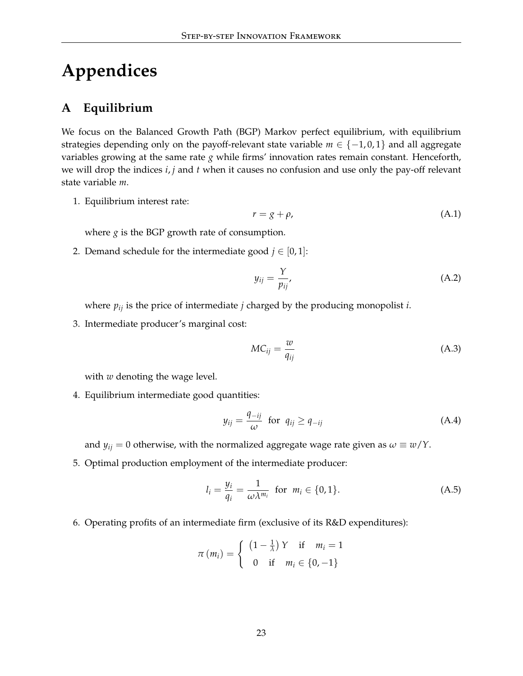# **Appendices**

### <span id="page-23-0"></span>**A Equilibrium**

We focus on the Balanced Growth Path (BGP) Markov perfect equilibrium, with equilibrium strategies depending only on the payoff-relevant state variable  $m \in \{-1,0,1\}$  and all aggregate variables growing at the same rate *g* while firms' innovation rates remain constant. Henceforth, we will drop the indices *i*, *j* and *t* when it causes no confusion and use only the pay-off relevant state variable *m*.

1. Equilibrium interest rate:

$$
r = g + \rho,\tag{A.1}
$$

where  $g$  is the BGP growth rate of consumption.

2. Demand schedule for the intermediate good  $j \in [0,1]$ :

$$
y_{ij} = \frac{Y}{p_{ij}},\tag{A.2}
$$

where *pij* is the price of intermediate *j* charged by the producing monopolist *i*.

3. Intermediate producer's marginal cost:

$$
MC_{ij} = \frac{w}{q_{ij}} \tag{A.3}
$$

with *w* denoting the wage level.

4. Equilibrium intermediate good quantities:

$$
y_{ij} = \frac{q_{-ij}}{\omega} \text{ for } q_{ij} \ge q_{-ij} \tag{A.4}
$$

and  $y_{ij} = 0$  otherwise, with the normalized aggregate wage rate given as  $\omega \equiv w/Y$ .

5. Optimal production employment of the intermediate producer:

$$
l_i = \frac{y_i}{q_i} = \frac{1}{\omega \lambda^{m_i}} \quad \text{for} \quad m_i \in \{0, 1\}. \tag{A.5}
$$

6. Operating profits of an intermediate firm (exclusive of its R&D expenditures):

$$
\pi(m_i) = \begin{cases} (1 - \frac{1}{\lambda}) Y & \text{if } m_i = 1 \\ 0 & \text{if } m_i \in \{0, -1\} \end{cases}
$$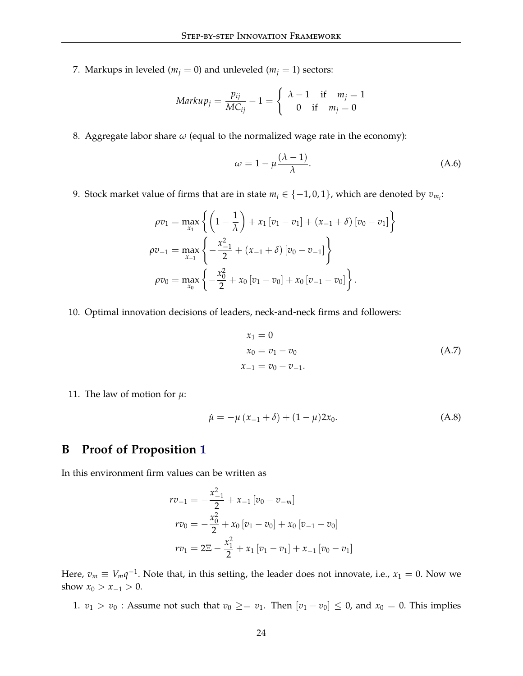7. Markups in leveled ( $m_j = 0$ ) and unleveled ( $m_j = 1$ ) sectors:

$$
Markup_j = \frac{p_{ij}}{MC_{ij}} - 1 = \begin{cases} \lambda - 1 & \text{if } m_j = 1\\ 0 & \text{if } m_j = 0 \end{cases}
$$

8. Aggregate labor share  $\omega$  (equal to the normalized wage rate in the economy):

$$
\omega = 1 - \mu \frac{(\lambda - 1)}{\lambda}.
$$
\n(A.6)

9. Stock market value of firms that are in state  $m_i \in \{-1,0,1\}$ , which are denoted by  $v_{m_i}$ :

$$
\rho v_1 = \max_{x_1} \left\{ \left( 1 - \frac{1}{\lambda} \right) + x_1 \left[ v_1 - v_1 \right] + (x_{-1} + \delta) \left[ v_0 - v_1 \right] \right\}
$$
  
\n
$$
\rho v_{-1} = \max_{x_{-1}} \left\{ -\frac{x_{-1}^2}{2} + (x_{-1} + \delta) \left[ v_0 - v_{-1} \right] \right\}
$$
  
\n
$$
\rho v_0 = \max_{x_0} \left\{ -\frac{x_0^2}{2} + x_0 \left[ v_1 - v_0 \right] + x_0 \left[ v_{-1} - v_0 \right] \right\}.
$$

10. Optimal innovation decisions of leaders, neck-and-neck firms and followers:

$$
x_1 = 0
$$
  
\n
$$
x_0 = v_1 - v_0
$$
  
\n
$$
x_{-1} = v_0 - v_{-1}.
$$
\n(A.7)

11. The law of motion for  $\mu$ :

$$
\dot{\mu} = -\mu (x_{-1} + \delta) + (1 - \mu)2x_0.
$$
 (A.8)

### <span id="page-24-0"></span>**B Proof of Proposition [1](#page-16-1)**

In this environment firm values can be written as

$$
rv_{-1} = -\frac{x_{-1}^2}{2} + x_{-1} [v_0 - v_{-\bar{m}}]
$$
  
\n
$$
rv_0 = -\frac{x_0^2}{2} + x_0 [v_1 - v_0] + x_0 [v_{-1} - v_0]
$$
  
\n
$$
rv_1 = 2\Xi - \frac{x_1^2}{2} + x_1 [v_1 - v_1] + x_{-1} [v_0 - v_1]
$$

Here,  $v_m \equiv V_m q^{-1}$ . Note that, in this setting, the leader does not innovate, i.e.,  $x_1 = 0$ . Now we show  $x_0 > x_{-1} > 0$ .

1.  $v_1 > v_0$ : Assume not such that  $v_0 \geq v_1$ . Then  $[v_1 - v_0] \leq 0$ , and  $x_0 = 0$ . This implies